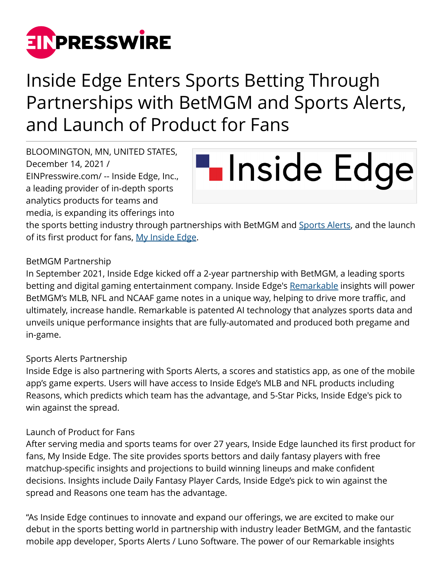

## Inside Edge Enters Sports Betting Through Partnerships with BetMGM and Sports Alerts, and Launch of Product for Fans

BLOOMINGTON, MN, UNITED STATES, December 14, 2021 / [EINPresswire.com](http://www.einpresswire.com)/ -- Inside Edge, Inc., a leading provider of in-depth sports analytics products for teams and media, is expanding its offerings into

# **Linside Edge**

the sports betting industry through partnerships with BetMGM and [Sports Alerts,](https://apps.apple.com/us/app/sports-alerts/id432450349) and the launch of its first product for fans, [My Inside Edge.](https://myinsideedge.com/)

#### BetMGM Partnership

In September 2021, Inside Edge kicked off a 2-year partnership with BetMGM, a leading sports betting and digital gaming entertainment company. Inside Edge's [Remarkable](https://www.inside-edge.com/remarkable/) insights will power BetMGM's MLB, NFL and NCAAF game notes in a unique way, helping to drive more traffic, and ultimately, increase handle. Remarkable is patented AI technology that analyzes sports data and unveils unique performance insights that are fully-automated and produced both pregame and in-game.

#### Sports Alerts Partnership

Inside Edge is also partnering with Sports Alerts, a scores and statistics app, as one of the mobile app's game experts. Users will have access to Inside Edge's MLB and NFL products including Reasons, which predicts which team has the advantage, and 5-Star Picks, Inside Edge's pick to win against the spread.

### Launch of Product for Fans

After serving media and sports teams for over 27 years, Inside Edge launched its first product for fans, My Inside Edge. The site provides sports bettors and daily fantasy players with free matchup-specific insights and projections to build winning lineups and make confident decisions. Insights include Daily Fantasy Player Cards, Inside Edge's pick to win against the spread and Reasons one team has the advantage.

"As Inside Edge continues to innovate and expand our offerings, we are excited to make our debut in the sports betting world in partnership with industry leader BetMGM, and the fantastic mobile app developer, Sports Alerts / Luno Software. The power of our Remarkable insights